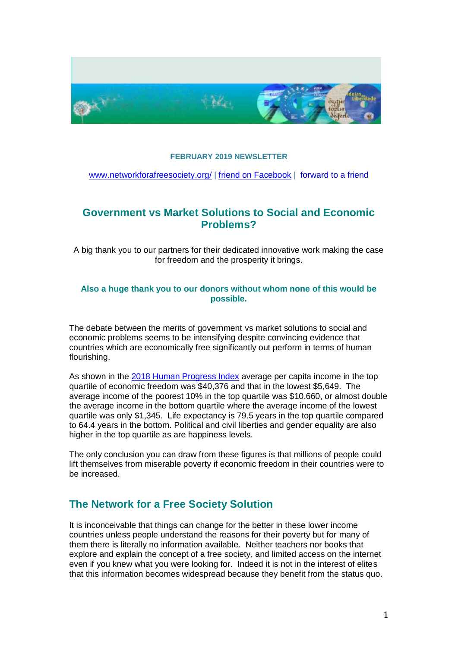

#### **FEBRUARY 2019 NEWSLETTER**

[www.networkforafreesociety.org/](file:///C:/Users/Roz/Documents/Linda/www.networkforafreesociety.org/) | [friend on Facebook](https://www.facebook.com/freesociety) | [forward to a friend](http://us6.forward-to-friend1.com/forward?u=a9097c21dbf4b971a3ab947cf&id=bc2dea78b1&e=0aec893c4e)

## **Government vs Market Solutions to Social and Economic Problems?**

A big thank you to our partners for their dedicated innovative work making the case for freedom and the prosperity it brings.

#### **Also a huge thank you to our donors without whom none of this would be possible.**

The debate between the merits of government vs market solutions to social and economic problems seems to be intensifying despite convincing evidence that countries which are economically free significantly out perform in terms of human flourishing.

As shown in the [2018 Human Progress Index](https://www.fraserinstitute.org/sites/default/files/economic-freedom-of-the-world-2018-execsummary.pdf) average per capita income in the top quartile of economic freedom was \$40,376 and that in the lowest \$5,649. The average income of the poorest 10% in the top quartile was \$10,660, or almost double the average income in the bottom quartile where the average income of the lowest quartile was only \$1,345. Life expectancy is 79.5 years in the top quartile compared to 64.4 years in the bottom. Political and civil liberties and gender equality are also higher in the top quartile as are happiness levels.

The only conclusion you can draw from these figures is that millions of people could lift themselves from miserable poverty if economic freedom in their countries were to be increased.

### **The Network for a Free Society Solution**

It is inconceivable that things can change for the better in these lower income countries unless people understand the reasons for their poverty but for many of them there is literally no information available. Neither teachers nor books that explore and explain the concept of a free society, and limited access on the internet even if you knew what you were looking for. Indeed it is not in the interest of elites that this information becomes widespread because they benefit from the status quo.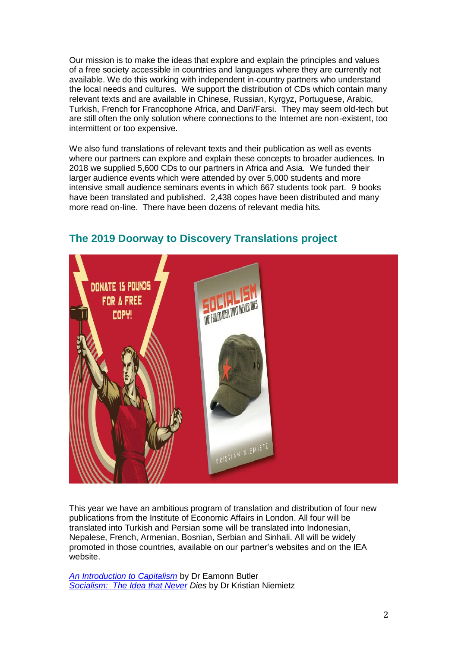Our mission is to make the ideas that explore and explain the principles and values of a free society accessible in countries and languages where they are currently not available. We do this working with independent in-country partners who understand the local needs and cultures. We support the distribution of CDs which contain many relevant texts and are available in Chinese, Russian, Kyrgyz, Portuguese, Arabic, Turkish, French for Francophone Africa, and Dari/Farsi. They may seem old-tech but are still often the only solution where connections to the Internet are non-existent, too intermittent or too expensive.

We also fund translations of relevant texts and their publication as well as events where our partners can explore and explain these concepts to broader audiences. In 2018 we supplied 5,600 CDs to our partners in Africa and Asia. We funded their larger audience events which were attended by over 5,000 students and more intensive small audience seminars events in which 667 students took part. 9 books have been translated and published. 2,438 copes have been distributed and many more read on-line. There have been dozens of relevant media hits.



# **The 2019 Doorway to Discovery Translations project**

This year we have an ambitious program of translation and distribution of four new publications from the Institute of Economic Affairs in London. All four will be translated into Turkish and Persian some will be translated into Indonesian, Nepalese, French, Armenian, Bosnian, Serbian and Sinhali. All will be widely promoted in those countries, available on our partner's websites and on the IEA website.

*[An Introduction to Capitalism](https://iea.org.uk/publications/an-introduction-to-capitalism/)* by Dr Eamonn Butler *[Socialism: The Idea that Never](https://iea.org.uk/publications/socialism-the-failed-idea-that-never-dies) Dies* by Dr Kristian Niemietz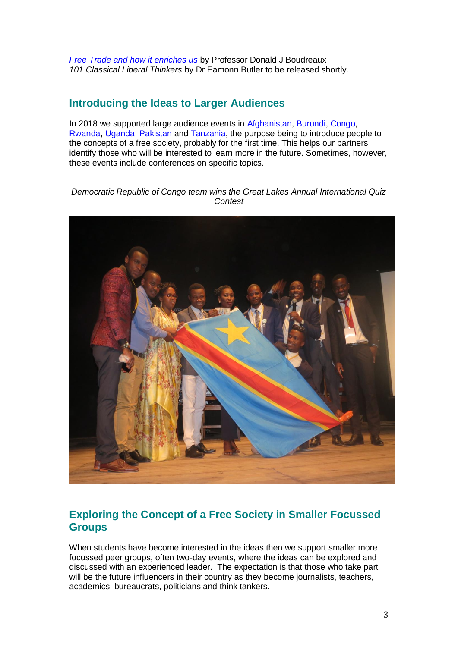*[Free Trade and how](https://iea.org.uk/publications/free-trade-and-how-it-enriches-us/) it enriches us* by Professor Donald J Boudreaux *101 Classical Liberal Thinkers* by Dr Eamonn Butler to be released shortly.

## **Introducing the Ideas to Larger Audiences**

In 2018 we supported large audience events in [Afghanistan,](https://www.networkforafreesociety.org/2019/03/02/bold-outreach-in-afghanistan/) [Burundi, Congo,](https://www.networkforafreesociety.org/2019/02/04/the-great-lakes-branch-of-students-for-liberty/) [Rwanda,](https://www.networkforafreesociety.org/2019/02/04/the-great-lakes-branch-of-students-for-liberty/) [Uganda,](https://www.networkforafreesociety.org/2019/02/26/a-new-chapter-in-the-effort-to-promote-freedom-in-uganda/) [Pakistan](http://islamandlibertynetwork.org/blog/2019/01/13/6th-international-islam-and-liberty-conference-building-islamic-foundations-for-open-markets/) and [Tanzania,](https://www.networkforafreesociety.org/category/countries/africa/tanzania/) the purpose being to introduce people to the concepts of a free society, probably for the first time. This helps our partners identify those who will be interested to learn more in the future. Sometimes, however, these events include conferences on specific topics.

*Democratic Republic of Congo team wins the Great Lakes Annual International Quiz Contest*



# **Exploring the Concept of a Free Society in Smaller Focussed Groups**

When students have become interested in the ideas then we support smaller more focussed peer groups, often two-day events, where the ideas can be explored and discussed with an experienced leader. The expectation is that those who take part will be the future influencers in their country as they become journalists, teachers, academics, bureaucrats, politicians and think tankers.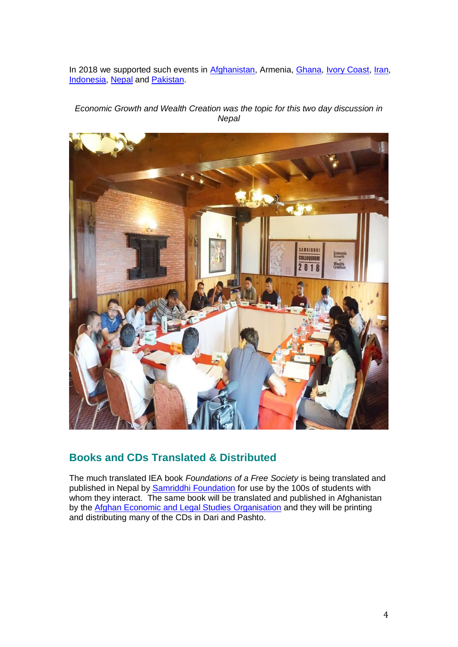In 2018 we supported such events in [Afghanistan,](https://www.networkforafreesociety.org/2019/03/02/bold-outreach-in-afghanistan/) Armenia, [Ghana,](https://www.networkforafreesociety.org/2019/02/26/exploring-the-benefits-of-a-free-society-with-journalists-in-ghana/) [Ivory Coast,](IvoryCoast) [Iran,](https://www.networkforafreesociety.org/2019/03/11/debating-a-muslim-case-for-freedom-in-iran/) [Indonesia,](https://www.networkforafreesociety.org/2019/02/28/discussions-on-islam-and-freedom-in-indonesia/) [Nepal](https://www.networkforafreesociety.org/2019/01/31/samriddhi-foundation-nepal/) and [Pakistan.](https://www.networkforafreesociety.org/2019/03/11/the-10th-khanaspur-residential-course-pakistan-july-2018/)

#### *Economic Growth and Wealth Creation was the topic for this two day discussion in Nepal*



### **Books and CDs Translated & Distributed**

The much translated IEA book *Foundations of a Free Society* is being translated and published in Nepal by [Samriddhi Foundation](http://samriddhi.org/) for use by the 100s of students with whom they interact. The same book will be translated and published in Afghanistan by the [Afghan Economic and Legal Studies Organisation](http://aelso.org/) and they will be printing and distributing many of the CDs in Dari and Pashto.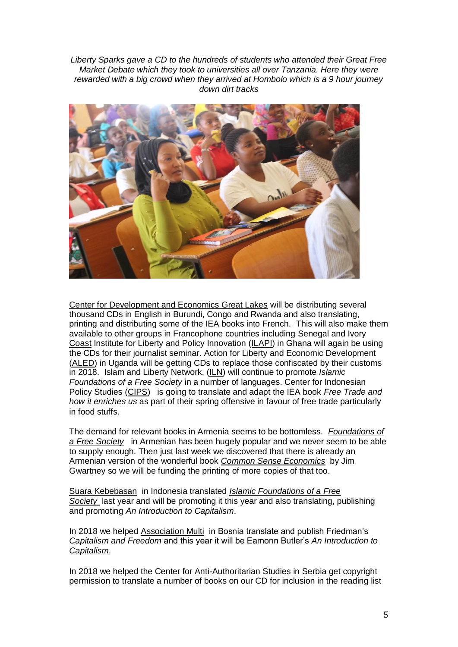*Liberty Sparks gave a CD to the hundreds of students who attended their Great Free Market Debate which they took to universities all over Tanzania. Here they were rewarded with a big crowd when they arrived at Hombolo which is a 9 hour journey down dirt tracks*



[Center for Development and Economics Great Lakes](http://centrefordevelopmentgreatlakes.org/) will be distributing several thousand CDs in English in Burundi, Congo and Rwanda and also translating, printing and distributing some of the IEA books into French. This will also make them available to other groups in Francophone countries including [Senegal and Ivory](http://audace-afrique.org/)  [Coast](http://audace-afrique.org/) Institute for Liberty and Policy Innovation [\(ILAPI\)](http://www.ilapi.org/) in Ghana will again be using the CDs for their journalist seminar. Action for Liberty and Economic Development [\(ALED\)](http://www.facebook/aledug.org) in Uganda will be getting CDs to replace those confiscated by their customs in 2018. Islam and Liberty Network, [\(ILN\)](http://islamandlibertynetwork.org/) will continue to promote *Islamic Foundations of a Free Society* in a number of languages. Center for Indonesian Policy Studies [\(CIPS\)](https://www.cips-indonesia.org/) is going to translate and adapt the IEA book *Free Trade and how it enriches us* as part of their spring offensive in favour of free trade particularly in food stuffs.

The demand for relevant books in Armenia seems to be bottomless. *[Foundations of](https://iea.org.uk/wp-content/uploads/2017/06/Foundations-of-a-Free-Society_Armenian.pdf)  [a Free Society](https://iea.org.uk/wp-content/uploads/2017/06/Foundations-of-a-Free-Society_Armenian.pdf)* in Armenian has been hugely popular and we never seem to be able to supply enough. Then just last week we discovered that there is already an Armenian version of the wonderful book *[Common Sense Economics](https://coss.fsu.edu/stavros/sites/default/files/CSE_third_edition_promotion.pdf)* by Jim Gwartney so we will be funding the printing of more copies of that too.

[Suara Kebebasan](https://suarakebebasan.org/en/) in Indonesia translated *[Islamic Foundations of a Free](https://iea.org.uk/publications/islamic-foundations-of-a-free-society/)  [Society](https://iea.org.uk/publications/islamic-foundations-of-a-free-society/)* last year and will be promoting it this year and also translating, publishing and promoting *An Introduction to Capitalism*.

In 2018 we helped [Association Multi](https://www.facebook.com/MultiGroningen/) in Bosnia translate and publish Friedman's *Capitalism and Freedom* and this year it will be Eamonn Butler's *[An Introduction to](https://iea.org.uk/publications/an-introduction-to-capitalism/)  [Capitalism](https://iea.org.uk/publications/an-introduction-to-capitalism/)*.

In 2018 we helped the Center for Anti-Authoritarian Studies in Serbia get copyright permission to translate a number of books on our CD for inclusion in the reading list